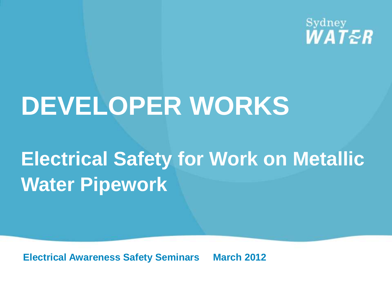Sydney WATER

# **DEVELOPER WORKS**

## **Electrical Safety for Work on Metallic Water Pipework**

**Electrical Awareness Safety Seminars March 2012**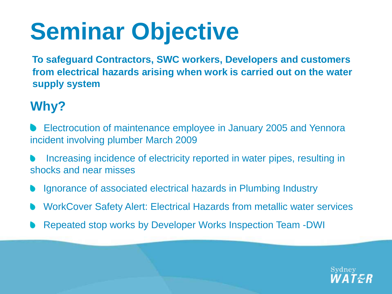# **Seminar Objective**

 **To safeguard Contractors, SWC workers, Developers and customers from electrical hazards arising when work is carried out on the water supply system**

#### **Why?**

- Electrocution of maintenance employee in January 2005 and Yennora incident involving plumber March 2009
- Increasing incidence of electricity reported in water pipes, resulting in shocks and near misses
- Ignorance of associated electrical hazards in Plumbing Industry
- WorkCover Safety Alert: Electrical Hazards from metallic water services
- Repeated stop works by Developer Works Inspection Team -DWI

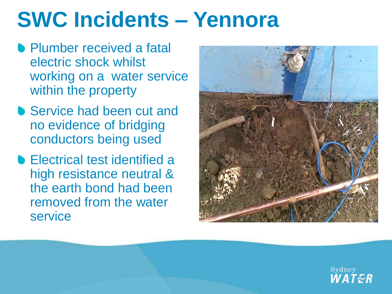## **SWC Incidents – Yennora**

- **Plumber received a fatal** electric shock whilst working on a water service within the property
- Service had been cut and no evidence of bridging conductors being used
- **Electrical test identified a** high resistance neutral & the earth bond had been removed from the water service



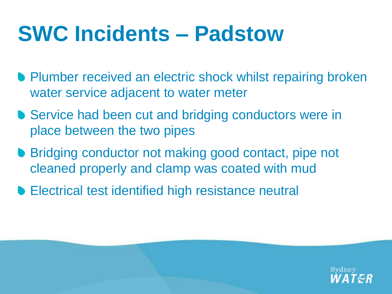## **SWC Incidents – Padstow**

- **Plumber received an electric shock whilst repairing broken** water service adjacent to water meter
- **Service had been cut and bridging conductors were in** place between the two pipes
- Bridging conductor not making good contact, pipe not cleaned properly and clamp was coated with mud
- **Electrical test identified high resistance neutral**

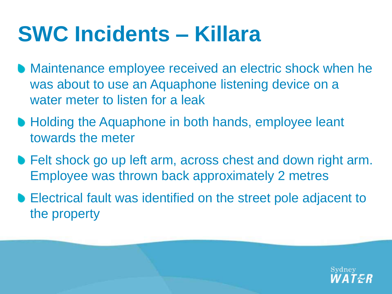## **SWC Incidents – Killara**

- **Maintenance employee received an electric shock when he** was about to use an Aquaphone listening device on a water meter to listen for a leak
- **Holding the Aquaphone in both hands, employee leant** towards the meter
- **Felt shock go up left arm, across chest and down right arm.** Employee was thrown back approximately 2 metres
- Electrical fault was identified on the street pole adjacent to the property

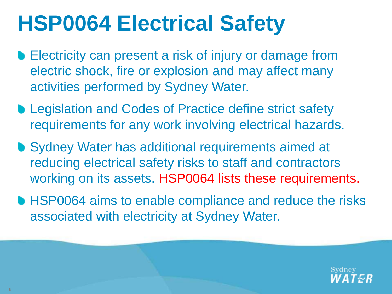- **Electricity can present a risk of injury or damage from** electric shock, fire or explosion and may affect many activities performed by Sydney Water.
- **Legislation and Codes of Practice define strict safety** requirements for any work involving electrical hazards.
- **Sydney Water has additional requirements aimed at** reducing electrical safety risks to staff and contractors working on its assets. HSP0064 lists these requirements.
- **HSP0064 aims to enable compliance and reduce the risks** associated with electricity at Sydney Water.

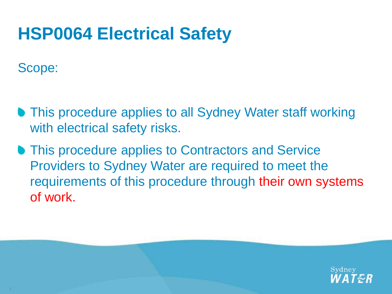Scope:

- **This procedure applies to all Sydney Water staff working** with electrical safety risks.
- **This procedure applies to Contractors and Service** Providers to Sydney Water are required to meet the requirements of this procedure through their own systems of work.

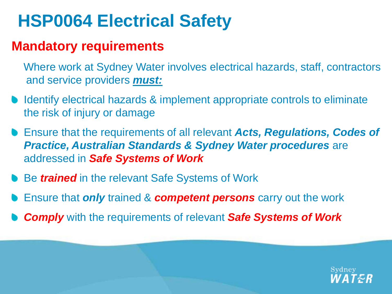#### **Mandatory requirements**

 Where work at Sydney Water involves electrical hazards, staff, contractors and service providers *must:*

- Identify electrical hazards & implement appropriate controls to eliminate the risk of injury or damage
- Ensure that the requirements of all relevant *Acts, Regulations, Codes of Practice, Australian Standards & Sydney Water procedures* are addressed in *Safe Systems of Work*
- **Be trained** in the relevant Safe Systems of Work
- Ensure that *only* trained & *competent persons* carry out the work
- *Comply* with the requirements of relevant *Safe Systems of Work*

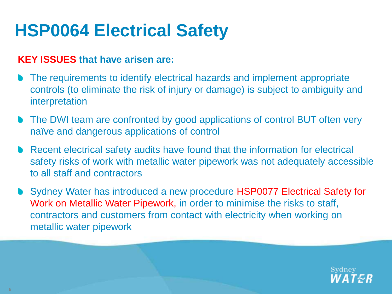#### **KEY ISSUES that have arisen are:**

- The requirements to identify electrical hazards and implement appropriate controls (to eliminate the risk of injury or damage) is subject to ambiguity and interpretation
- The DWI team are confronted by good applications of control BUT often very naïve and dangerous applications of control
- Recent electrical safety audits have found that the information for electrical safety risks of work with metallic water pipework was not adequately accessible to all staff and contractors
- Sydney Water has introduced a new procedure HSP0077 Electrical Safety for Work on Metallic Water Pipework, in order to minimise the risks to staff, contractors and customers from contact with electricity when working on metallic water pipework

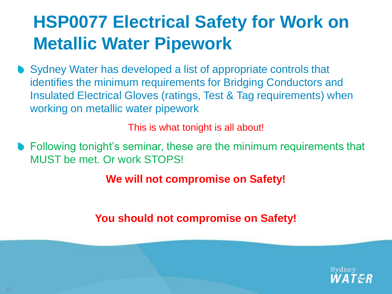Sydney Water has developed a list of appropriate controls that identifies the minimum requirements for Bridging Conductors and Insulated Electrical Gloves (ratings, Test & Tag requirements) when working on metallic water pipework

This is what tonight is all about!

Following tonight's seminar, these are the minimum requirements that MUST be met. Or work STOPS!

**We will not compromise on Safety!** 

**You should not compromise on Safety!**

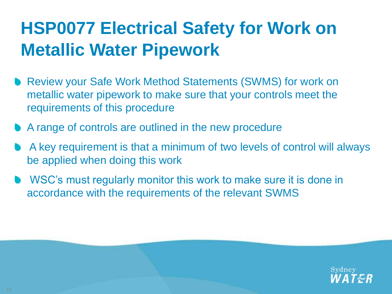- Review your Safe Work Method Statements (SWMS) for work on metallic water pipework to make sure that your controls meet the requirements of this procedure
- A range of controls are outlined in the new procedure
- A key requirement is that a minimum of two levels of control will always be applied when doing this work
- WSC's must regularly monitor this work to make sure it is done in accordance with the requirements of the relevant SWMS

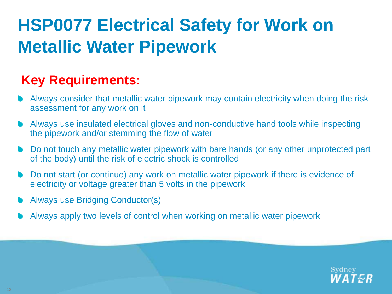#### **Key Requirements:**

- Always consider that metallic water pipework may contain electricity when doing the risk assessment for any work on it
- Always use insulated electrical gloves and non-conductive hand tools while inspecting the pipework and/or stemming the flow of water
- Do not touch any metallic water pipework with bare hands (or any other unprotected part of the body) until the risk of electric shock is controlled
- Do not start (or continue) any work on metallic water pipework if there is evidence of electricity or voltage greater than 5 volts in the pipework
- Always use Bridging Conductor(s)
- Always apply two levels of control when working on metallic water pipework

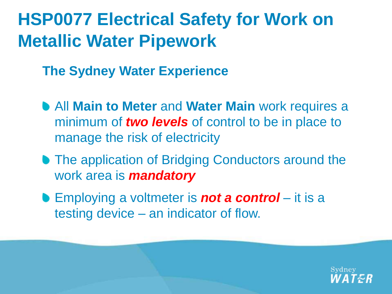**The Sydney Water Experience**

- All **Main to Meter** and **Water Main** work requires a minimum of *two levels* of control to be in place to manage the risk of electricity
- **The application of Bridging Conductors around the** work area is *mandatory*
- Employing a voltmeter is *not a control* it is a testing device – an indicator of flow.

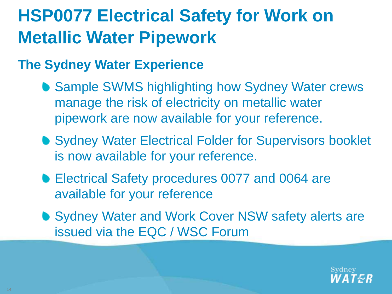#### **The Sydney Water Experience**

- Sample SWMS highlighting how Sydney Water crews manage the risk of electricity on metallic water pipework are now available for your reference.
- **Sydney Water Electrical Folder for Supervisors booklet** is now available for your reference.
- Electrical Safety procedures 0077 and 0064 are available for your reference
- Sydney Water and Work Cover NSW safety alerts are issued via the EQC / WSC Forum

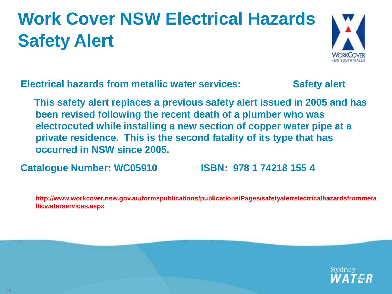## **Work Cover NSW Electrical Hazards Safety Alert**



**Electrical hazards from metallic water services: Safety alert** 

 **This safety alert replaces a previous safety alert issued in 2005 and has been revised following the recent death of a plumber who was electrocuted while installing a new section of copper water pipe at a private residence. This is the second fatality of its type that has occurred in NSW since 2005.** 

**Catalogue Number: WC05910 ISBN: 978 1 74218 155 4**

**http://www.workcover.nsw.gov.au/formspublications/publications/Pages/safetyalertelectricalhazardsfrommeta llicwaterservices.aspx**

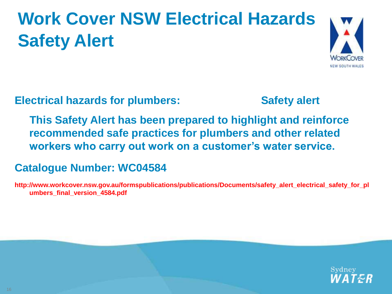## **Work Cover NSW Electrical Hazards Safety Alert**



**Electrical hazards for plumbers: Safety alert** 

 **This Safety Alert has been prepared to highlight and reinforce recommended safe practices for plumbers and other related workers who carry out work on a customer's water service.**

#### **Catalogue Number: WC04584**

**http://www.workcover.nsw.gov.au/formspublications/publications/Documents/safety\_alert\_electrical\_safety\_for\_pl umbers\_final\_version\_4584.pdf**

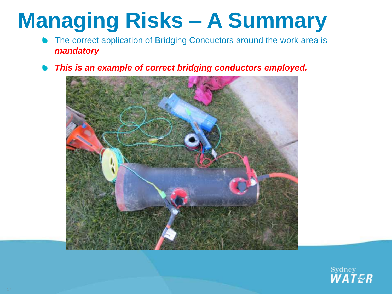## **Managing Risks – A Summary**

- The correct application of Bridging Conductors around the work area is *mandatory*
- *This is an example of correct bridging conductors employed.*



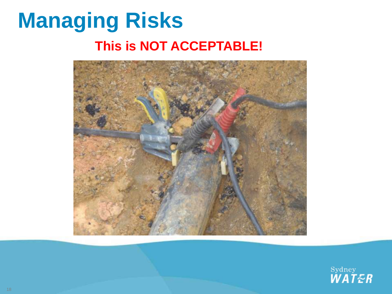## **Managing Risks This is NOT ACCEPTABLE!**



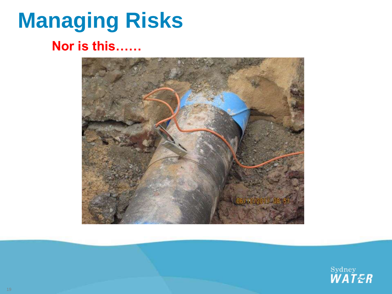## **Managing Risks**

#### **Nor is this……**



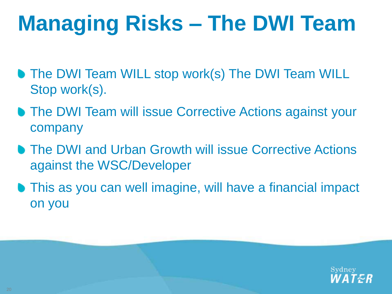## **Managing Risks – The DWI Team**

- **The DWI Team WILL stop work(s) The DWI Team WILL** Stop work(s).
- **The DWI Team will issue Corrective Actions against your** company
- **The DWI and Urban Growth will issue Corrective Actions** against the WSC/Developer
- This as you can well imagine, will have a financial impact on you

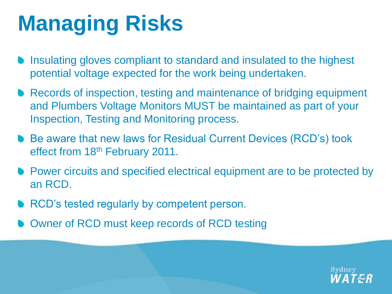## **Managing Risks**

- Insulating gloves compliant to standard and insulated to the highest potential voltage expected for the work being undertaken.
- Records of inspection, testing and maintenance of bridging equipment and Plumbers Voltage Monitors MUST be maintained as part of your Inspection, Testing and Monitoring process.
- Be aware that new laws for Residual Current Devices (RCD's) took effect from 18th February 2011.
- **Power circuits and specified electrical equipment are to be protected by** an RCD.
- RCD's tested regularly by competent person.
- Owner of RCD must keep records of RCD testing

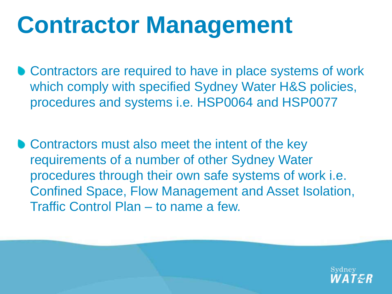## **Contractor Management**

● Contractors are required to have in place systems of work which comply with specified Sydney Water H&S policies, procedures and systems i.e. HSP0064 and HSP0077

**• Contractors must also meet the intent of the key** requirements of a number of other Sydney Water procedures through their own safe systems of work i.e. Confined Space, Flow Management and Asset Isolation, Traffic Control Plan – to name a few.

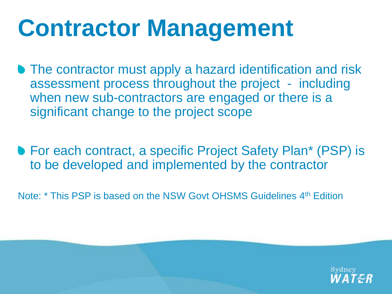# **Contractor Management**

- **The contractor must apply a hazard identification and risk** assessment process throughout the project - including when new sub-contractors are engaged or there is a significant change to the project scope
- For each contract, a specific Project Safety Plan<sup>\*</sup> (PSP) is to be developed and implemented by the contractor
- Note: \* This PSP is based on the NSW Govt OHSMS Guidelines 4<sup>th</sup> Edition

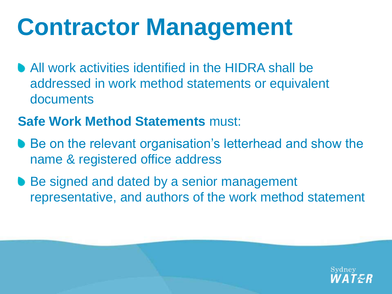# **Contractor Management**

All work activities identified in the HIDRA shall be addressed in work method statements or equivalent documents

#### **Safe Work Method Statements** must:

- Be on the relevant organisation's letterhead and show the name & registered office address
- Be signed and dated by a senior management representative, and authors of the work method statement

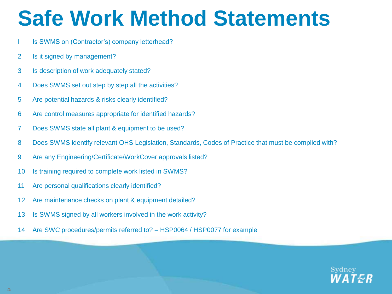## **Safe Work Method Statements**

- Is SWMS on (Contractor's) company letterhead?
- 2 Is it signed by management?
- 3 Is description of work adequately stated?
- 4 Does SWMS set out step by step all the activities?
- 5 Are potential hazards & risks clearly identified?
- 6 Are control measures appropriate for identified hazards?
- 7 Does SWMS state all plant & equipment to be used?
- 8 Does SWMS identify relevant OHS Legislation, Standards, Codes of Practice that must be complied with?
- 9 Are any Engineering/Certificate/WorkCover approvals listed?
- 10 Is training required to complete work listed in SWMS?
- 11 Are personal qualifications clearly identified?
- 12 Are maintenance checks on plant & equipment detailed?
- 13 Is SWMS signed by all workers involved in the work activity?
- 14 Are SWC procedures/permits referred to? HSP0064 / HSP0077 for example

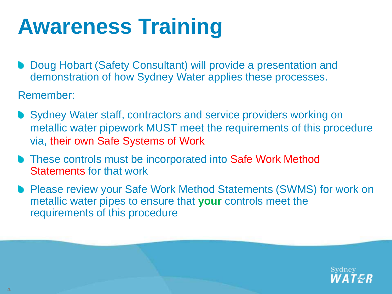## **Awareness Training**

Doug Hobart (Safety Consultant) will provide a presentation and demonstration of how Sydney Water applies these processes.

Remember:

- Sydney Water staff, contractors and service providers working on metallic water pipework MUST meet the requirements of this procedure via, their own Safe Systems of Work
- **These controls must be incorporated into Safe Work Method** Statements for that work
- Please review your Safe Work Method Statements (SWMS) for work on metallic water pipes to ensure that **your** controls meet the requirements of this procedure